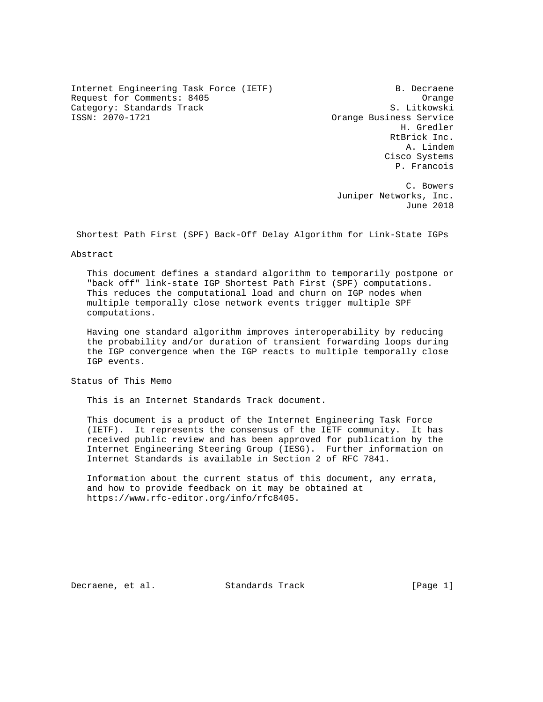Internet Engineering Task Force (IETF) B. Decraene Request for Comments: 8405 Category: Standards Track S. Litkowski<br>
S. Litkowski<br>
S. Corange Business Service

Orange Business Service H. Gredler RtBrick Inc. A. Lindem Cisco Systems P. Francois

 C. Bowers Juniper Networks, Inc. June 2018

Shortest Path First (SPF) Back-Off Delay Algorithm for Link-State IGPs

#### Abstract

 This document defines a standard algorithm to temporarily postpone or "back off" link-state IGP Shortest Path First (SPF) computations. This reduces the computational load and churn on IGP nodes when multiple temporally close network events trigger multiple SPF computations.

 Having one standard algorithm improves interoperability by reducing the probability and/or duration of transient forwarding loops during the IGP convergence when the IGP reacts to multiple temporally close IGP events.

Status of This Memo

This is an Internet Standards Track document.

 This document is a product of the Internet Engineering Task Force (IETF). It represents the consensus of the IETF community. It has received public review and has been approved for publication by the Internet Engineering Steering Group (IESG). Further information on Internet Standards is available in Section 2 of RFC 7841.

 Information about the current status of this document, any errata, and how to provide feedback on it may be obtained at https://www.rfc-editor.org/info/rfc8405.

Decraene, et al. Standards Track [Page 1]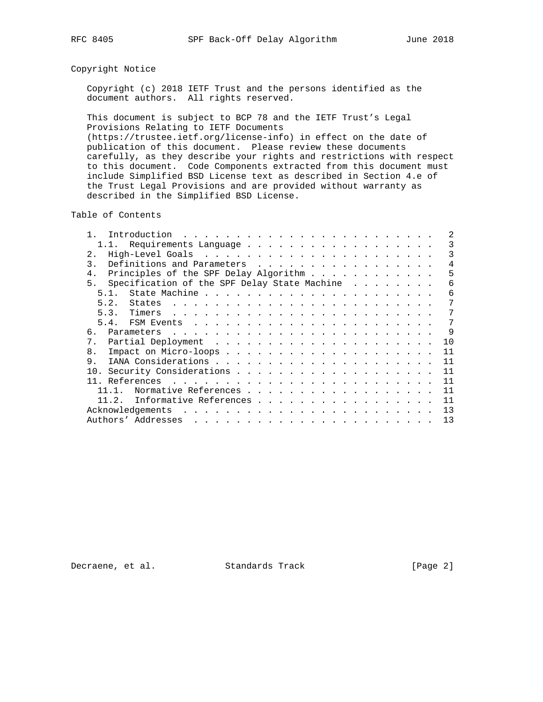### Copyright Notice

 Copyright (c) 2018 IETF Trust and the persons identified as the document authors. All rights reserved.

 This document is subject to BCP 78 and the IETF Trust's Legal Provisions Relating to IETF Documents (https://trustee.ietf.org/license-info) in effect on the date of publication of this document. Please review these documents carefully, as they describe your rights and restrictions with respect to this document. Code Components extracted from this document must include Simplified BSD License text as described in Section 4.e of the Trust Legal Provisions and are provided without warranty as

described in the Simplified BSD License.

Table of Contents

| 1.1. Requirements Language                                                                                                            | 3            |
|---------------------------------------------------------------------------------------------------------------------------------------|--------------|
| 2.1                                                                                                                                   | 3            |
| Definitions and Parameters<br>$\mathcal{L}$                                                                                           | 4            |
| Principles of the SPF Delay Algorithm                                                                                                 | 5            |
| Specification of the SPF Delay State Machine<br>5.                                                                                    | 6            |
| 51                                                                                                                                    | 6            |
| 5.2.<br>States                                                                                                                        | 7            |
|                                                                                                                                       | 7            |
|                                                                                                                                       | 7            |
| 6                                                                                                                                     | $\mathsf{Q}$ |
| $7$ .                                                                                                                                 | 10           |
| 8.                                                                                                                                    | 11           |
| 9.                                                                                                                                    | 11           |
| 10.                                                                                                                                   | 11           |
|                                                                                                                                       | 11           |
| Normative References                                                                                                                  | 11           |
| 11.2.<br>Informative References                                                                                                       | 11           |
| Acknowledgements                                                                                                                      | 13           |
| Authors' Addresses<br>and a complete that the complete state of the complete state of the complete state of the complete state of the | 13           |

Decraene, et al. Standards Track [Page 2]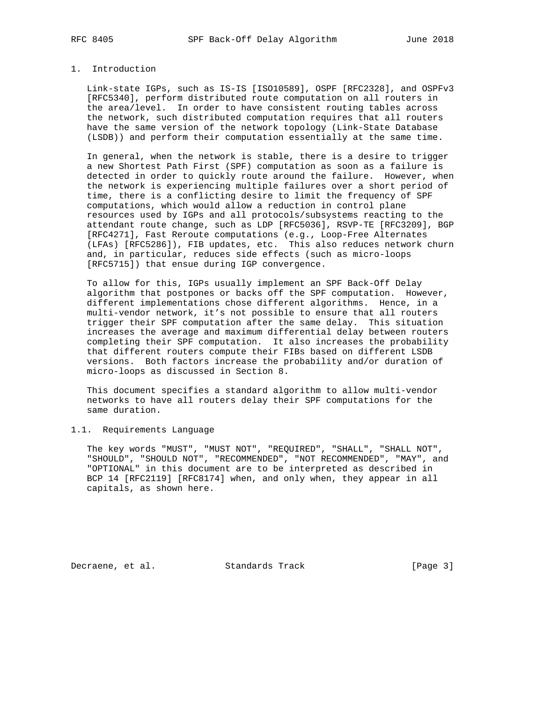### 1. Introduction

 Link-state IGPs, such as IS-IS [ISO10589], OSPF [RFC2328], and OSPFv3 [RFC5340], perform distributed route computation on all routers in the area/level. In order to have consistent routing tables across the network, such distributed computation requires that all routers have the same version of the network topology (Link-State Database (LSDB)) and perform their computation essentially at the same time.

 In general, when the network is stable, there is a desire to trigger a new Shortest Path First (SPF) computation as soon as a failure is detected in order to quickly route around the failure. However, when the network is experiencing multiple failures over a short period of time, there is a conflicting desire to limit the frequency of SPF computations, which would allow a reduction in control plane resources used by IGPs and all protocols/subsystems reacting to the attendant route change, such as LDP [RFC5036], RSVP-TE [RFC3209], BGP [RFC4271], Fast Reroute computations (e.g., Loop-Free Alternates (LFAs) [RFC5286]), FIB updates, etc. This also reduces network churn and, in particular, reduces side effects (such as micro-loops [RFC5715]) that ensue during IGP convergence.

 To allow for this, IGPs usually implement an SPF Back-Off Delay algorithm that postpones or backs off the SPF computation. However, different implementations chose different algorithms. Hence, in a multi-vendor network, it's not possible to ensure that all routers trigger their SPF computation after the same delay. This situation increases the average and maximum differential delay between routers completing their SPF computation. It also increases the probability that different routers compute their FIBs based on different LSDB versions. Both factors increase the probability and/or duration of micro-loops as discussed in Section 8.

 This document specifies a standard algorithm to allow multi-vendor networks to have all routers delay their SPF computations for the same duration.

### 1.1. Requirements Language

 The key words "MUST", "MUST NOT", "REQUIRED", "SHALL", "SHALL NOT", "SHOULD", "SHOULD NOT", "RECOMMENDED", "NOT RECOMMENDED", "MAY", and "OPTIONAL" in this document are to be interpreted as described in BCP 14 [RFC2119] [RFC8174] when, and only when, they appear in all capitals, as shown here.

Decraene, et al. Standards Track [Page 3]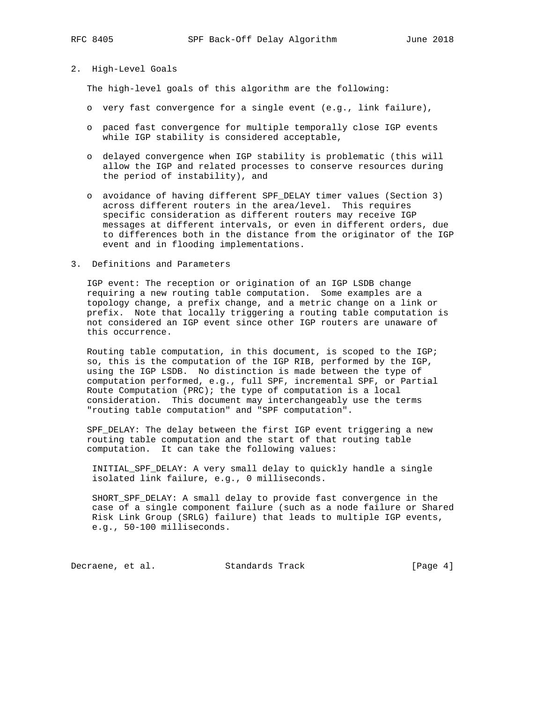## 2. High-Level Goals

The high-level goals of this algorithm are the following:

- o very fast convergence for a single event (e.g., link failure),
- o paced fast convergence for multiple temporally close IGP events while IGP stability is considered acceptable,
- o delayed convergence when IGP stability is problematic (this will allow the IGP and related processes to conserve resources during the period of instability), and
- o avoidance of having different SPF\_DELAY timer values (Section 3) across different routers in the area/level. This requires specific consideration as different routers may receive IGP messages at different intervals, or even in different orders, due to differences both in the distance from the originator of the IGP event and in flooding implementations.
- 3. Definitions and Parameters

 IGP event: The reception or origination of an IGP LSDB change requiring a new routing table computation. Some examples are a topology change, a prefix change, and a metric change on a link or prefix. Note that locally triggering a routing table computation is not considered an IGP event since other IGP routers are unaware of this occurrence.

 Routing table computation, in this document, is scoped to the IGP; so, this is the computation of the IGP RIB, performed by the IGP, using the IGP LSDB. No distinction is made between the type of computation performed, e.g., full SPF, incremental SPF, or Partial Route Computation (PRC); the type of computation is a local consideration. This document may interchangeably use the terms "routing table computation" and "SPF computation".

 SPF\_DELAY: The delay between the first IGP event triggering a new routing table computation and the start of that routing table computation. It can take the following values:

 INITIAL\_SPF\_DELAY: A very small delay to quickly handle a single isolated link failure, e.g., 0 milliseconds.

 SHORT\_SPF\_DELAY: A small delay to provide fast convergence in the case of a single component failure (such as a node failure or Shared Risk Link Group (SRLG) failure) that leads to multiple IGP events, e.g., 50-100 milliseconds.

Decraene, et al. Standards Track [Page 4]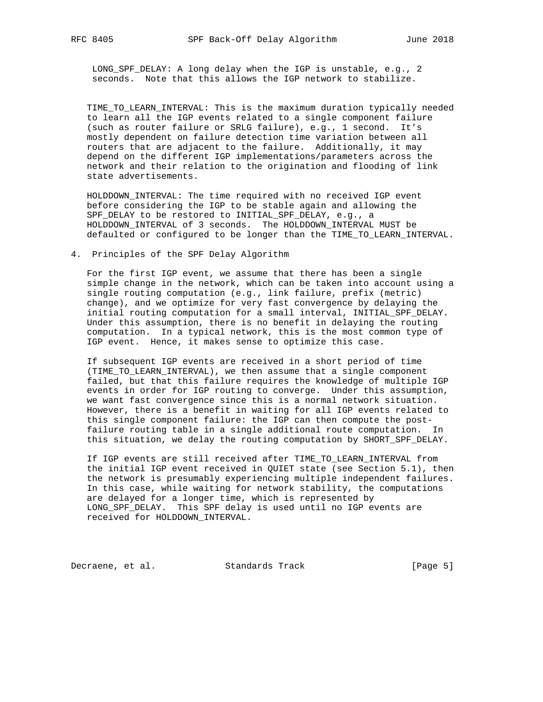LONG\_SPF\_DELAY: A long delay when the IGP is unstable, e.g., 2 seconds. Note that this allows the IGP network to stabilize.

 TIME\_TO\_LEARN\_INTERVAL: This is the maximum duration typically needed to learn all the IGP events related to a single component failure (such as router failure or SRLG failure), e.g., 1 second. It's mostly dependent on failure detection time variation between all routers that are adjacent to the failure. Additionally, it may depend on the different IGP implementations/parameters across the network and their relation to the origination and flooding of link state advertisements.

 HOLDDOWN\_INTERVAL: The time required with no received IGP event before considering the IGP to be stable again and allowing the SPF\_DELAY to be restored to INITIAL\_SPF\_DELAY, e.g., a HOLDDOWN\_INTERVAL of 3 seconds. The HOLDDOWN\_INTERVAL MUST be defaulted or configured to be longer than the TIME\_TO\_LEARN\_INTERVAL.

4. Principles of the SPF Delay Algorithm

 For the first IGP event, we assume that there has been a single simple change in the network, which can be taken into account using a single routing computation (e.g., link failure, prefix (metric) change), and we optimize for very fast convergence by delaying the initial routing computation for a small interval, INITIAL\_SPF\_DELAY. Under this assumption, there is no benefit in delaying the routing computation. In a typical network, this is the most common type of IGP event. Hence, it makes sense to optimize this case.

 If subsequent IGP events are received in a short period of time (TIME\_TO\_LEARN\_INTERVAL), we then assume that a single component failed, but that this failure requires the knowledge of multiple IGP events in order for IGP routing to converge. Under this assumption, we want fast convergence since this is a normal network situation. However, there is a benefit in waiting for all IGP events related to this single component failure: the IGP can then compute the post failure routing table in a single additional route computation. In this situation, we delay the routing computation by SHORT\_SPF\_DELAY.

 If IGP events are still received after TIME\_TO\_LEARN\_INTERVAL from the initial IGP event received in QUIET state (see Section 5.1), then the network is presumably experiencing multiple independent failures. In this case, while waiting for network stability, the computations are delayed for a longer time, which is represented by LONG\_SPF\_DELAY. This SPF delay is used until no IGP events are received for HOLDDOWN\_INTERVAL.

Decraene, et al. Standards Track [Page 5]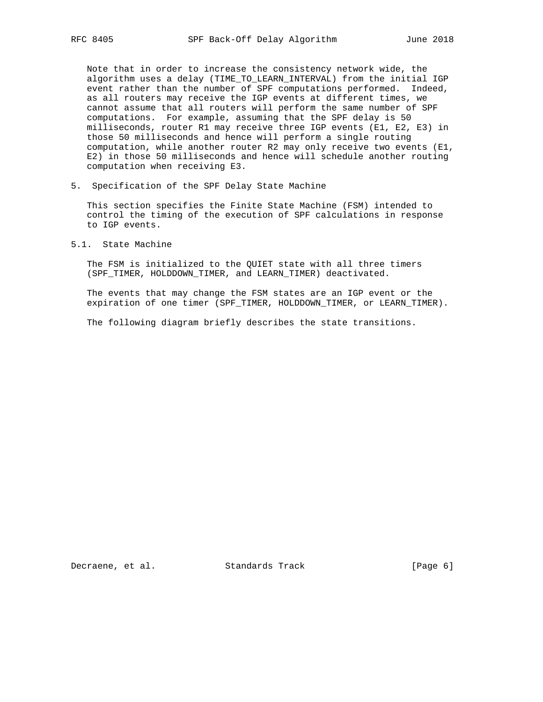Note that in order to increase the consistency network wide, the algorithm uses a delay (TIME\_TO\_LEARN\_INTERVAL) from the initial IGP event rather than the number of SPF computations performed. Indeed, as all routers may receive the IGP events at different times, we cannot assume that all routers will perform the same number of SPF computations. For example, assuming that the SPF delay is 50 milliseconds, router R1 may receive three IGP events (E1, E2, E3) in those 50 milliseconds and hence will perform a single routing computation, while another router R2 may only receive two events (E1, E2) in those 50 milliseconds and hence will schedule another routing computation when receiving E3.

5. Specification of the SPF Delay State Machine

 This section specifies the Finite State Machine (FSM) intended to control the timing of the execution of SPF calculations in response to IGP events.

5.1. State Machine

 The FSM is initialized to the QUIET state with all three timers (SPF\_TIMER, HOLDDOWN\_TIMER, and LEARN\_TIMER) deactivated.

 The events that may change the FSM states are an IGP event or the expiration of one timer (SPF\_TIMER, HOLDDOWN\_TIMER, or LEARN\_TIMER).

The following diagram briefly describes the state transitions.

Decraene, et al. Standards Track [Page 6]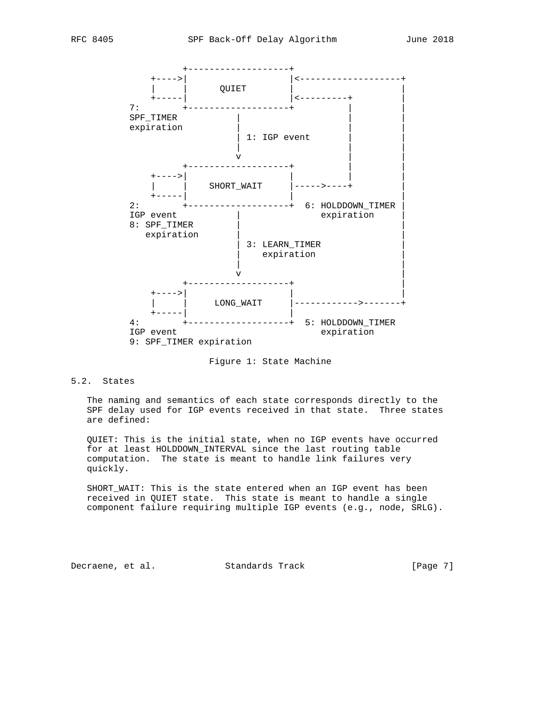



Figure 1: State Machine

# 5.2. States

 The naming and semantics of each state corresponds directly to the SPF delay used for IGP events received in that state. Three states are defined:

 QUIET: This is the initial state, when no IGP events have occurred for at least HOLDDOWN\_INTERVAL since the last routing table computation. The state is meant to handle link failures very quickly.

 SHORT\_WAIT: This is the state entered when an IGP event has been received in QUIET state. This state is meant to handle a single component failure requiring multiple IGP events (e.g., node, SRLG).

Decraene, et al. Standards Track [Page 7]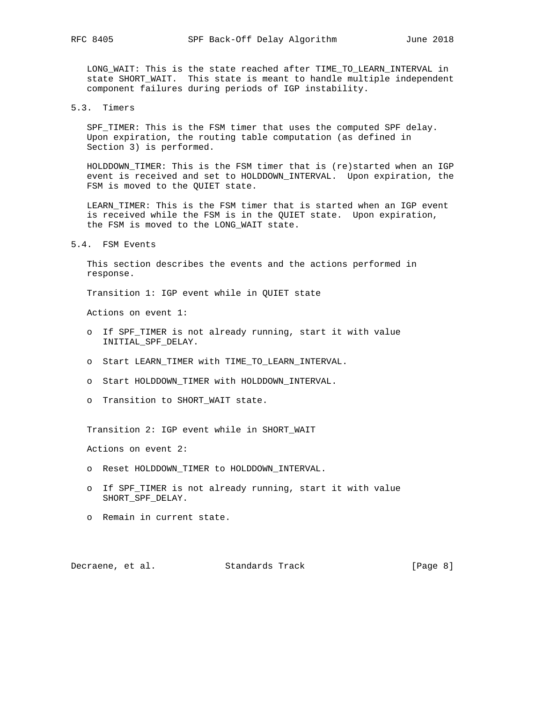LONG\_WAIT: This is the state reached after TIME\_TO\_LEARN\_INTERVAL in state SHORT\_WAIT. This state is meant to handle multiple independent component failures during periods of IGP instability.

### 5.3. Timers

 SPF\_TIMER: This is the FSM timer that uses the computed SPF delay. Upon expiration, the routing table computation (as defined in Section 3) is performed.

 HOLDDOWN\_TIMER: This is the FSM timer that is (re)started when an IGP event is received and set to HOLDDOWN\_INTERVAL. Upon expiration, the FSM is moved to the QUIET state.

 LEARN\_TIMER: This is the FSM timer that is started when an IGP event is received while the FSM is in the QUIET state. Upon expiration, the FSM is moved to the LONG\_WAIT state.

#### 5.4. FSM Events

 This section describes the events and the actions performed in response.

Transition 1: IGP event while in QUIET state

Actions on event 1:

- o If SPF TIMER is not already running, start it with value INITIAL\_SPF\_DELAY.
- o Start LEARN\_TIMER with TIME\_TO\_LEARN\_INTERVAL.
- o Start HOLDDOWN\_TIMER with HOLDDOWN\_INTERVAL.
- o Transition to SHORT\_WAIT state.

Transition 2: IGP event while in SHORT\_WAIT

Actions on event 2:

- o Reset HOLDDOWN\_TIMER to HOLDDOWN\_INTERVAL.
- o If SPF\_TIMER is not already running, start it with value SHORT\_SPF\_DELAY.
- o Remain in current state.

Decraene, et al. Standards Track [Page 8]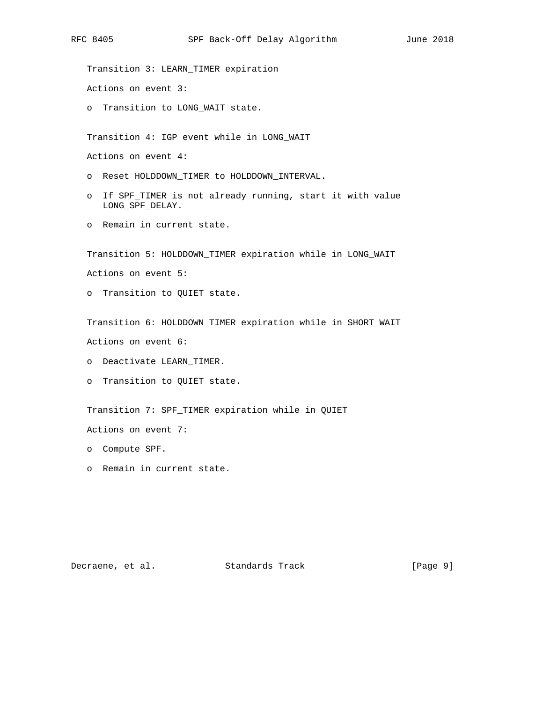Transition 3: LEARN\_TIMER expiration Actions on event 3: o Transition to LONG\_WAIT state. Transition 4: IGP event while in LONG\_WAIT Actions on event 4: o Reset HOLDDOWN\_TIMER to HOLDDOWN\_INTERVAL. o If SPF\_TIMER is not already running, start it with value LONG\_SPF\_DELAY. o Remain in current state. Transition 5: HOLDDOWN\_TIMER expiration while in LONG\_WAIT Actions on event 5: o Transition to QUIET state. Transition 6: HOLDDOWN\_TIMER expiration while in SHORT\_WAIT Actions on event 6: o Deactivate LEARN\_TIMER. o Transition to QUIET state. Transition 7: SPF\_TIMER expiration while in QUIET Actions on event 7: o Compute SPF. o Remain in current state.

Decraene, et al. Standards Track [Page 9]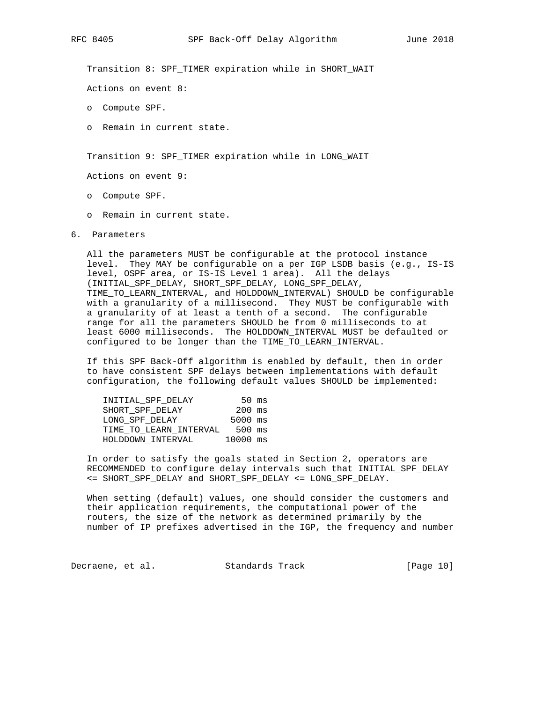Transition 8: SPF\_TIMER expiration while in SHORT\_WAIT

Actions on event 8:

- o Compute SPF.
- o Remain in current state.

Transition 9: SPF\_TIMER expiration while in LONG\_WAIT

Actions on event 9:

- o Compute SPF.
- o Remain in current state.
- 6. Parameters

 All the parameters MUST be configurable at the protocol instance level. They MAY be configurable on a per IGP LSDB basis (e.g., IS-IS level, OSPF area, or IS-IS Level 1 area). All the delays (INITIAL\_SPF\_DELAY, SHORT\_SPF\_DELAY, LONG\_SPF\_DELAY, TIME\_TO\_LEARN\_INTERVAL, and HOLDDOWN\_INTERVAL) SHOULD be configurable with a granularity of a millisecond. They MUST be configurable with a granularity of at least a tenth of a second. The configurable range for all the parameters SHOULD be from 0 milliseconds to at least 6000 milliseconds. The HOLDDOWN\_INTERVAL MUST be defaulted or configured to be longer than the TIME\_TO\_LEARN\_INTERVAL.

 If this SPF Back-Off algorithm is enabled by default, then in order to have consistent SPF delays between implementations with default configuration, the following default values SHOULD be implemented:

| INITIAL SPF DELAY      |           | $50 \text{ ms}$ |
|------------------------|-----------|-----------------|
| SHORT SPF DELAY        | $200$ ms  |                 |
| LONG SPF DELAY         | $5000$ ms |                 |
| TIME TO LEARN INTERVAL | 500 ms    |                 |
| HOLDDOWN INTERVAL      | 10000 ms  |                 |

 In order to satisfy the goals stated in Section 2, operators are RECOMMENDED to configure delay intervals such that INITIAL\_SPF\_DELAY <= SHORT\_SPF\_DELAY and SHORT\_SPF\_DELAY <= LONG\_SPF\_DELAY.

 When setting (default) values, one should consider the customers and their application requirements, the computational power of the routers, the size of the network as determined primarily by the number of IP prefixes advertised in the IGP, the frequency and number

Decraene, et al. Standards Track [Page 10]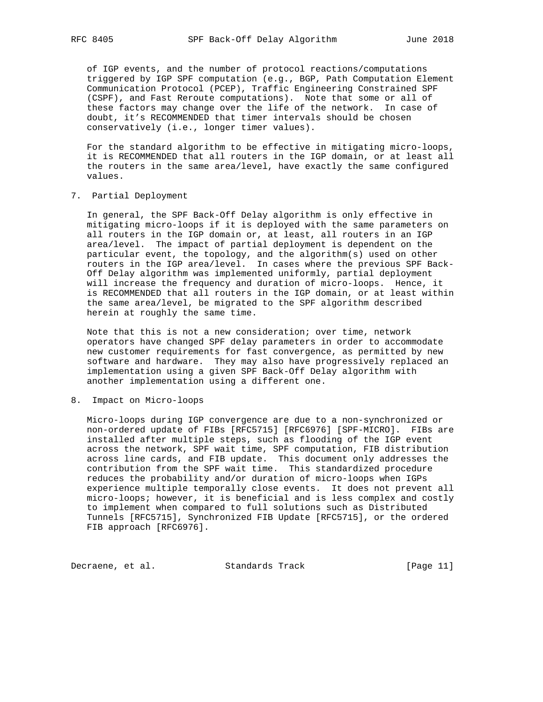of IGP events, and the number of protocol reactions/computations triggered by IGP SPF computation (e.g., BGP, Path Computation Element Communication Protocol (PCEP), Traffic Engineering Constrained SPF (CSPF), and Fast Reroute computations). Note that some or all of these factors may change over the life of the network. In case of doubt, it's RECOMMENDED that timer intervals should be chosen conservatively (i.e., longer timer values).

 For the standard algorithm to be effective in mitigating micro-loops, it is RECOMMENDED that all routers in the IGP domain, or at least all the routers in the same area/level, have exactly the same configured values.

7. Partial Deployment

 In general, the SPF Back-Off Delay algorithm is only effective in mitigating micro-loops if it is deployed with the same parameters on all routers in the IGP domain or, at least, all routers in an IGP area/level. The impact of partial deployment is dependent on the particular event, the topology, and the algorithm(s) used on other routers in the IGP area/level. In cases where the previous SPF Back- Off Delay algorithm was implemented uniformly, partial deployment will increase the frequency and duration of micro-loops. Hence, it is RECOMMENDED that all routers in the IGP domain, or at least within the same area/level, be migrated to the SPF algorithm described herein at roughly the same time.

 Note that this is not a new consideration; over time, network operators have changed SPF delay parameters in order to accommodate new customer requirements for fast convergence, as permitted by new software and hardware. They may also have progressively replaced an implementation using a given SPF Back-Off Delay algorithm with another implementation using a different one.

8. Impact on Micro-loops

 Micro-loops during IGP convergence are due to a non-synchronized or non-ordered update of FIBs [RFC5715] [RFC6976] [SPF-MICRO]. FIBs are installed after multiple steps, such as flooding of the IGP event across the network, SPF wait time, SPF computation, FIB distribution across line cards, and FIB update. This document only addresses the contribution from the SPF wait time. This standardized procedure reduces the probability and/or duration of micro-loops when IGPs experience multiple temporally close events. It does not prevent all micro-loops; however, it is beneficial and is less complex and costly to implement when compared to full solutions such as Distributed Tunnels [RFC5715], Synchronized FIB Update [RFC5715], or the ordered FIB approach [RFC6976].

Decraene, et al. Standards Track [Page 11]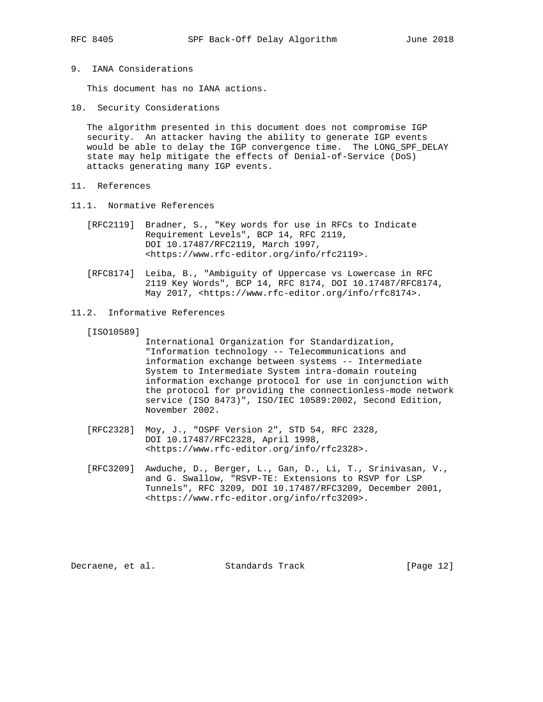9. IANA Considerations

This document has no IANA actions.

10. Security Considerations

 The algorithm presented in this document does not compromise IGP security. An attacker having the ability to generate IGP events would be able to delay the IGP convergence time. The LONG\_SPF\_DELAY state may help mitigate the effects of Denial-of-Service (DoS) attacks generating many IGP events.

- 11. References
- 11.1. Normative References
	- [RFC2119] Bradner, S., "Key words for use in RFCs to Indicate Requirement Levels", BCP 14, RFC 2119, DOI 10.17487/RFC2119, March 1997, <https://www.rfc-editor.org/info/rfc2119>.
	- [RFC8174] Leiba, B., "Ambiguity of Uppercase vs Lowercase in RFC 2119 Key Words", BCP 14, RFC 8174, DOI 10.17487/RFC8174, May 2017, <https://www.rfc-editor.org/info/rfc8174>.
- 11.2. Informative References

[ISO10589]

 International Organization for Standardization, "Information technology -- Telecommunications and information exchange between systems -- Intermediate System to Intermediate System intra-domain routeing information exchange protocol for use in conjunction with the protocol for providing the connectionless-mode network service (ISO 8473)", ISO/IEC 10589:2002, Second Edition, November 2002.

- [RFC2328] Moy, J., "OSPF Version 2", STD 54, RFC 2328, DOI 10.17487/RFC2328, April 1998, <https://www.rfc-editor.org/info/rfc2328>.
- [RFC3209] Awduche, D., Berger, L., Gan, D., Li, T., Srinivasan, V., and G. Swallow, "RSVP-TE: Extensions to RSVP for LSP Tunnels", RFC 3209, DOI 10.17487/RFC3209, December 2001, <https://www.rfc-editor.org/info/rfc3209>.

Decraene, et al. Standards Track [Page 12]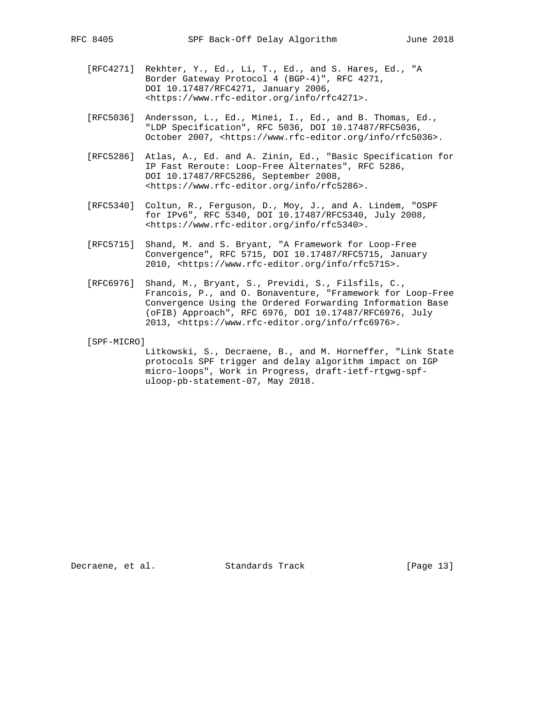- [RFC4271] Rekhter, Y., Ed., Li, T., Ed., and S. Hares, Ed., "A Border Gateway Protocol 4 (BGP-4)", RFC 4271, DOI 10.17487/RFC4271, January 2006, <https://www.rfc-editor.org/info/rfc4271>.
- [RFC5036] Andersson, L., Ed., Minei, I., Ed., and B. Thomas, Ed., "LDP Specification", RFC 5036, DOI 10.17487/RFC5036, October 2007, <https://www.rfc-editor.org/info/rfc5036>.
- [RFC5286] Atlas, A., Ed. and A. Zinin, Ed., "Basic Specification for IP Fast Reroute: Loop-Free Alternates", RFC 5286, DOI 10.17487/RFC5286, September 2008, <https://www.rfc-editor.org/info/rfc5286>.
- [RFC5340] Coltun, R., Ferguson, D., Moy, J., and A. Lindem, "OSPF for IPv6", RFC 5340, DOI 10.17487/RFC5340, July 2008, <https://www.rfc-editor.org/info/rfc5340>.
- [RFC5715] Shand, M. and S. Bryant, "A Framework for Loop-Free Convergence", RFC 5715, DOI 10.17487/RFC5715, January 2010, <https://www.rfc-editor.org/info/rfc5715>.
- [RFC6976] Shand, M., Bryant, S., Previdi, S., Filsfils, C., Francois, P., and O. Bonaventure, "Framework for Loop-Free Convergence Using the Ordered Forwarding Information Base (oFIB) Approach", RFC 6976, DOI 10.17487/RFC6976, July 2013, <https://www.rfc-editor.org/info/rfc6976>.

[SPF-MICRO]

 Litkowski, S., Decraene, B., and M. Horneffer, "Link State protocols SPF trigger and delay algorithm impact on IGP micro-loops", Work in Progress, draft-ietf-rtgwg-spf uloop-pb-statement-07, May 2018.